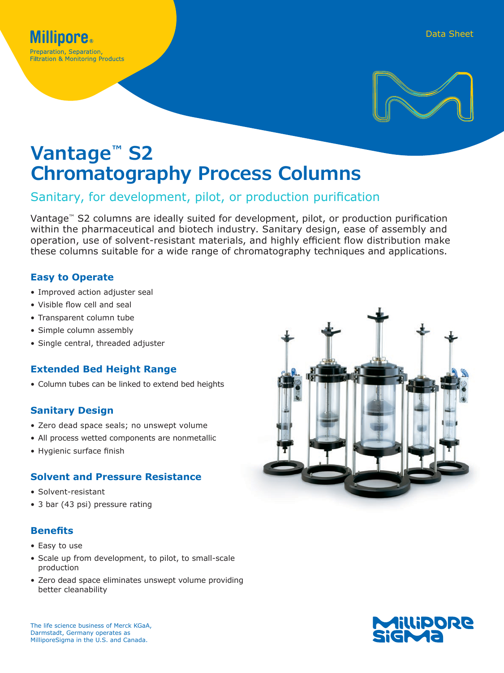

# **Vantage™ S2 Chromatography Process Columns**

## Sanitary, for development, pilot, or production purification

Vantage™ S2 columns are ideally suited for development, pilot, or production purification within the pharmaceutical and biotech industry. Sanitary design, ease of assembly and operation, use of solvent-resistant materials, and highly efficient flow distribution make these columns suitable for a wide range of chromatography techniques and applications.

### **Easy to Operate**

- Improved action adjuster seal
- Visible flow cell and seal
- Transparent column tube
- Simple column assembly
- Single central, threaded adjuster

## **Extended Bed Height Range**

• Column tubes can be linked to extend bed heights

## **Sanitary Design**

- Zero dead space seals; no unswept volume
- All process wetted components are nonmetallic
- Hygienic surface finish

## **Solvent and Pressure Resistance**

- Solvent-resistant
- 3 bar (43 psi) pressure rating

## **Benefits**

- Easy to use
- Scale up from development, to pilot, to small-scale production
- Zero dead space eliminates unswept volume providing better cleanability

The life science business of Merck KGaA, Darmstadt, Germany operates as MilliporeSigma in the U.S. and Canada.



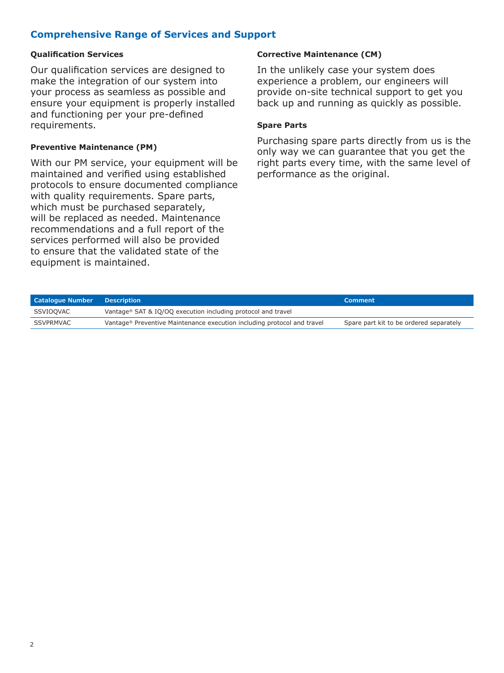## **Comprehensive Range of Services and Support**

#### **Qualification Services**

Our qualification services are designed to make the integration of our system into your process as seamless as possible and ensure your equipment is properly installed and functioning per your pre-defined requirements.

#### **Preventive Maintenance (PM)**

With our PM service, your equipment will be maintained and verified using established protocols to ensure documented compliance with quality requirements. Spare parts, which must be purchased separately, will be replaced as needed. Maintenance recommendations and a full report of the services performed will also be provided to ensure that the validated state of the equipment is maintained.

#### **Corrective Maintenance (CM)**

In the unlikely case your system does experience a problem, our engineers will provide on-site technical support to get you back up and running as quickly as possible.

#### **Spare Parts**

Purchasing spare parts directly from us is the only way we can guarantee that you get the right parts every time, with the same level of performance as the original.

| <b>Catalogue Number</b> | <b>Description</b>                                                                  | Comment                                 |
|-------------------------|-------------------------------------------------------------------------------------|-----------------------------------------|
| SSVIOQVAC               | Vantage® SAT & IQ/OQ execution including protocol and travel                        |                                         |
| SSVPRMVAC               | Vantage <sup>®</sup> Preventive Maintenance execution including protocol and travel | Spare part kit to be ordered separately |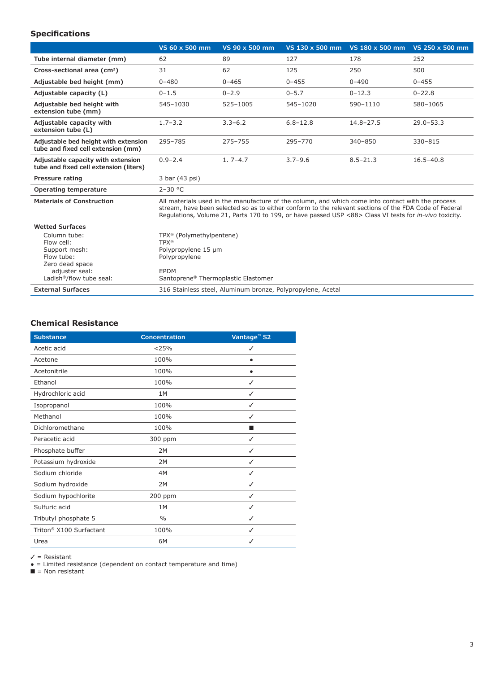#### **Specifications**

|                                                                                                                                        | VS 60 x 500 mm                                                                                                                                    | VS 90 x 500 mm                                              | VS 130 x 500 mm                                                                                                                                                                                                                                                                                                       | VS 180 x 500 mm | VS 250 x 500 mm |
|----------------------------------------------------------------------------------------------------------------------------------------|---------------------------------------------------------------------------------------------------------------------------------------------------|-------------------------------------------------------------|-----------------------------------------------------------------------------------------------------------------------------------------------------------------------------------------------------------------------------------------------------------------------------------------------------------------------|-----------------|-----------------|
| Tube internal diameter (mm)                                                                                                            | 62                                                                                                                                                | 89                                                          | 127                                                                                                                                                                                                                                                                                                                   | 178             | 252             |
| Cross-sectional area (cm <sup>2</sup> )                                                                                                | 31                                                                                                                                                | 62                                                          | 125                                                                                                                                                                                                                                                                                                                   | 250             | 500             |
| Adjustable bed height (mm)                                                                                                             | $0 - 480$                                                                                                                                         | $0 - 465$                                                   | $0 - 455$                                                                                                                                                                                                                                                                                                             | $0 - 490$       | $0 - 455$       |
| Adjustable capacity (L)                                                                                                                | $0 - 1.5$                                                                                                                                         | $0 - 2.9$                                                   | $0 - 5.7$                                                                                                                                                                                                                                                                                                             | $0 - 12.3$      | $0 - 22.8$      |
| Adjustable bed height with<br>extension tube (mm)                                                                                      | 545-1030                                                                                                                                          | 525-1005                                                    | 545-1020                                                                                                                                                                                                                                                                                                              | 590-1110        | 580-1065        |
| Adjustable capacity with<br>extension tube (L)                                                                                         | $1.7 - 3.2$                                                                                                                                       | $3.3 - 6.2$                                                 | $6.8 - 12.8$                                                                                                                                                                                                                                                                                                          | $14.8 - 27.5$   | $29.0 - 53.3$   |
| Adjustable bed height with extension<br>tube and fixed cell extension (mm)                                                             | 295-785                                                                                                                                           | $275 - 755$                                                 | 295-770                                                                                                                                                                                                                                                                                                               | 340-850         | 330-815         |
| Adjustable capacity with extension<br>tube and fixed cell extension (liters)                                                           | $0.9 - 2.4$                                                                                                                                       | $1.7 - 4.7$                                                 | $3.7 - 9.6$                                                                                                                                                                                                                                                                                                           | $8.5 - 21.3$    | $16.5 - 40.8$   |
| <b>Pressure rating</b>                                                                                                                 | 3 bar (43 psi)                                                                                                                                    |                                                             |                                                                                                                                                                                                                                                                                                                       |                 |                 |
| Operating temperature                                                                                                                  | $2 - 30 °C$                                                                                                                                       |                                                             |                                                                                                                                                                                                                                                                                                                       |                 |                 |
| <b>Materials of Construction</b>                                                                                                       |                                                                                                                                                   |                                                             | All materials used in the manufacture of the column, and which come into contact with the process<br>stream, have been selected so as to either conform to the relevant sections of the FDA Code of Federal<br>Regulations, Volume 21, Parts 170 to 199, or have passed USP <88> Class VI tests for in-vivo toxicity. |                 |                 |
| <b>Wetted Surfaces</b>                                                                                                                 |                                                                                                                                                   |                                                             |                                                                                                                                                                                                                                                                                                                       |                 |                 |
| Column tube:<br>Flow cell:<br>Support mesh:<br>Flow tube:<br>Zero dead space<br>adjuster seal:<br>Ladish <sup>®</sup> /flow tube seal: | TPX <sup>®</sup> (Polymethylpentene)<br><b>TPX®</b><br>Polypropylene 15 µm<br>Polypropylene<br><b>EPDM</b><br>Santoprene® Thermoplastic Elastomer |                                                             |                                                                                                                                                                                                                                                                                                                       |                 |                 |
| <b>External Surfaces</b>                                                                                                               |                                                                                                                                                   | 316 Stainless steel, Aluminum bronze, Polypropylene, Acetal |                                                                                                                                                                                                                                                                                                                       |                 |                 |

#### **Chemical Resistance**

| <b>Substance</b>                    | <b>Concentration</b> | Vantage <sup>™</sup> S2 |
|-------------------------------------|----------------------|-------------------------|
| Acetic acid                         | < 25%                | ✓                       |
| Acetone                             | 100%                 |                         |
| Acetonitrile                        | 100%                 |                         |
| Ethanol                             | 100%                 | ✓                       |
| Hydrochloric acid                   | 1M                   | ✓                       |
| Isopropanol                         | 100%                 | ✓                       |
| Methanol                            | 100%                 | ✓                       |
| Dichloromethane                     | 100%                 |                         |
| Peracetic acid                      | 300 ppm              | ✓                       |
| Phosphate buffer                    | 2M                   | ✓                       |
| Potassium hydroxide                 | 2M                   | ✓                       |
| Sodium chloride                     | 4M                   | ✓                       |
| Sodium hydroxide                    | 2M                   | ✓                       |
| Sodium hypochlorite                 | 200 ppm              | ✓                       |
| Sulfuric acid                       | 1M                   | ✓                       |
| Tributyl phosphate 5                | $\frac{0}{0}$        | ✓                       |
| Triton <sup>®</sup> X100 Surfactant | 100%                 | ✓                       |
| Urea                                | 6M                   |                         |

✓ = Resistant

● = Limited resistance (dependent on contact temperature and time) ■ = Non resistant